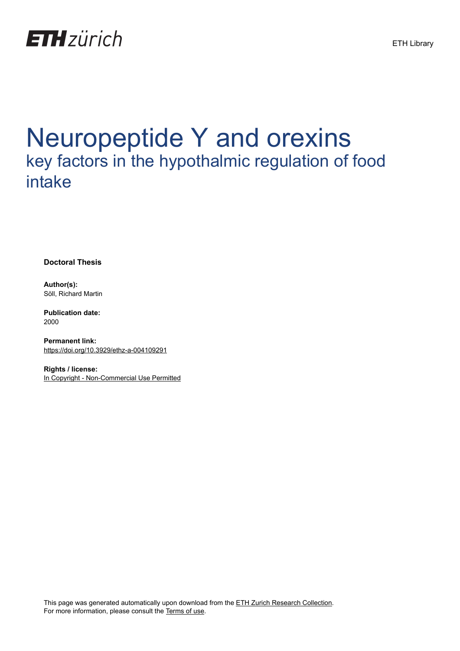

# Neuropeptide Y and orexins key factors in the hypothalmic regulation of food intake

**Doctoral Thesis**

**Author(s):** Söll, Richard Martin

**Publication date:** 2000

**Permanent link:** <https://doi.org/10.3929/ethz-a-004109291>

**Rights / license:** [In Copyright - Non-Commercial Use Permitted](http://rightsstatements.org/page/InC-NC/1.0/)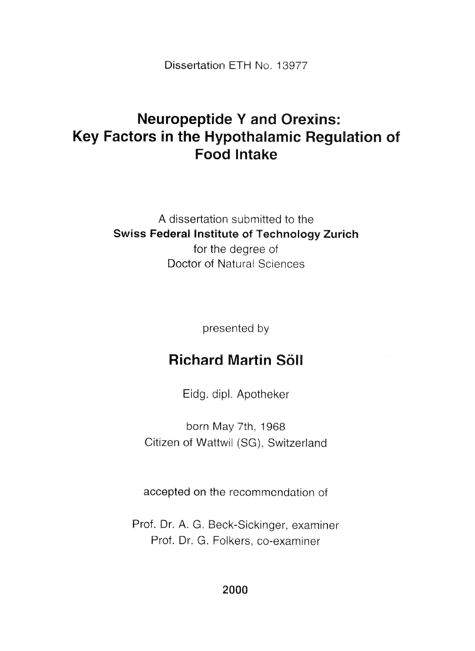Dissertation ETH No. 13977

## **Neuropeptide Y and Orexins:** Key Factors in the Hypothalamic Regulation of **Food Intake**

A dissertation submitted to the **Swiss Federal Institute of Technology Zurich** for the degree of Doctor of Natural Sciences

presented by

#### **Richard Martin Söll**

Eidg. dipl. Apotheker

born May 7th, 1968 Citizen of Wattwil (SG), Switzerland

accepted on the recommendation of

Prof. Dr. A. G. Beck-Sickinger, examiner Prof. Dr. G. Folkers, co-examiner

2000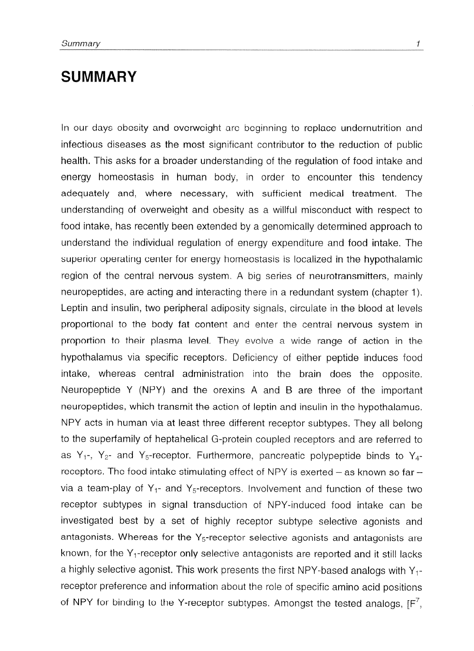### **SUMMARY**

In our days obesity and overweight are beginning to replace undernutrition and infectious diseases as the most significant contributor to the reduction of public health. This asks for a broader understanding of the regulation of food intake and energy homeostasis in human body, in order to encounter this tendency adequately and, where necessary, with sufficient medical treatment. The understanding of overweight and obesity as a willful misconduct with respect to food intake, has recently been extended by a genomically determined approach to understand the individual regulation of energy expenditure and food intake. The superior operating center for energy homeostasis is localized in the hypothalamic region of the central nervous system, A big series of neurotransmitters, mainly neuropeptides, are acting and interacting there in a redundant system (chapter I). Leptin and insulin, two peripheral adiposity signals, circulate in the blood at levels proportional to the body fat content and enter the central nervous system in proportion to their plasma level. They evolve a wide range of action in the hypothalamus via specific receptors. Deficiency of either peptide induces food intake, whereas central administration into the brain does the opposite. Neuropeptide Y (NPY) and the orexins A and B are three of the important neuropeptides, which transmit the action of leptin and insulin in the hypothalamus. NPY acts in human via at least three different receptor subtypes, They all belong to the superfamily of heptahelical G-protein coupled receptors and are referred to as  $Y_1$ -,  $Y_2$ - and  $Y_5$ -receptor. Furthermore, pancreatic polypeptide binds to  $Y_4$ receptors. The food intake stimulating effect of NPY is exerted  $-$  as known so far  $$ via a team-play of  $Y_1$ - and  $Y_5$ -receptors. Involvement and function of these two receptor subtypes in signal transduction of NPY-induced food intake can be investigated best by a set of highly receptor subtype selective agonists and antagonists. Whereas for the  $Y_5$ -receptor selective agonists and antagonists are known, for the  $Y_1$ -receptor only selective antagonists are reported and it still lacks a highly selective agonist. This work presents the first NPY-based analogs with Y, receptor preference and information about the role of specific amino acid positions of NPY for binding to the Y-receptor subtypes. Amongst the tested analogs,  $[F<sub>1</sub>]$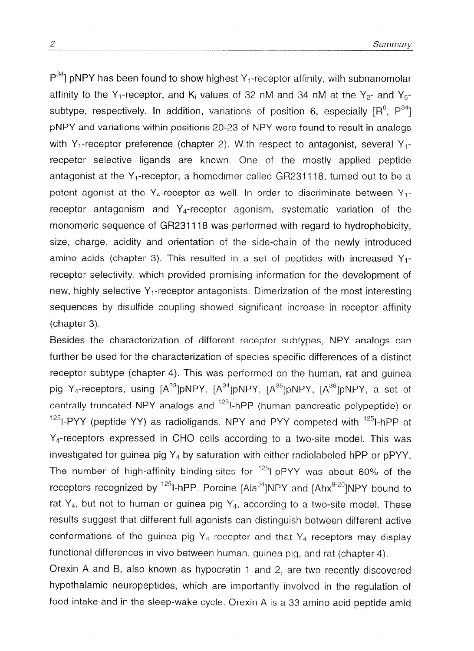$P^{34}$ ] pNPY has been found to show highest Y<sub>1</sub>-receptor affinity, with subnanomolar affinity to the Y<sub>1</sub>-receptor, and K<sub>i</sub> values of 32 nM and 34 nM at the Y<sub>2</sub>- and Y<sub>5</sub>subtype, respectively. In addition, variations of position 6, especially  $[R^6, P^{34}]$ pNPY and variations within positions 20-23 of NPY were found to result in analogs with Y<sub>1</sub>-receptor preference (chapter 2). With respect to antagonist, several Y<sub>1</sub>recpetor selective ligands are known, One of the mostly applied peptide antagonist at the  $Y_1$ -receptor, a homodimer called GR231118, turned out to be a potent agonist at the Y<sub>4</sub>-receptor as well, In order to discriminate between Y<sub>1</sub>receptor antagonism and Y4-receptor agonism, systematic variation of the monomeric sequence of GR231118 was performed with regard to hydrophobicity, size, charge, acidity and orientation of the side-chain of the newly introduced amino acids (chapter 3). This resulted in a set of peptides with increased  $Y_{1}$ receptor selectivity, which provided promising information for the development of new, highly selective  $Y_1$ -receptor antagonists. Dimerization of the most interesting sequences by disulfide coupling showed significant increase in receptor affinity (chapter 3).

---

Besides the characterization of different receptor subtypes, NPY analogs can further be used for the characterization of species specific differences of a distinct receptor subtype (chapter 4). This was performed on the human, rat and guinea pig Y<sub>4</sub>-receptors, using  $[A^{33}]$ pNPY,  $[A^{34}]$ pNPY,  $[A^{35}]$ pNPY,  $[A^{36}]$ pNPY, a set of centrally truncated NPY analogs and <sup>125</sup>I-hPP (human pancreatic polypeptide) or  $125$ I-PYY (peptide YY) as radioligands. NPY and PYY competed with  $125$ I-hPP at  $Y<sub>4</sub>$ -receptors expressed in CHO cells according to a two-site model. This was investigated for guinea pig  $Y_4$  by saturation with either radiolabeled hPP or pPYY. The number of high-affinity binding-sites for  $125$ -pPYY was about 60% of the receptors recognized by  $^{125}$ I-hPP. Porcine [Ala $^{34}$ ]NPY and [Ahx $^{8-20}$ ]NPY bound to rat  $Y_4$ , but not to human or guinea pig  $Y_4$ , according to a two-site model. These results suggest that different full agonists can distinguish between different active conformations of the guinea pig  $Y_4$  receptor and that  $Y_4$  receptors may display functional differences in vivo between human, guinea pig, and rat (chapter 4).

Orexin A and B, also known as hypocretin 1 and 2, are two recently discovered hypothalamic neuropeptides, which are importantly involved in the regulation of food intake and in the sleep-wake cycle. Orexin A is a 33 amino acid peptide amid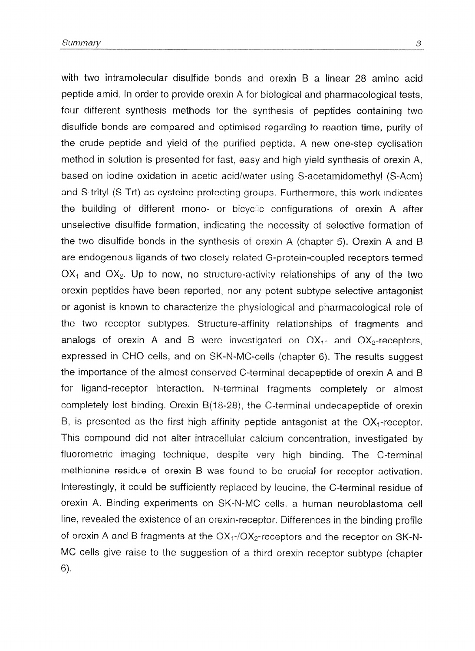with two intramolecular disulfide bonds and orexin B a linear 28 amino acid peptide amid. in order to provide orexin A for biological and pharmacological tests, four different synthesis methods for the synthesis of peptides containing two disulfide bonds are compared and optimised regarding to reaction time, purity of the crude peptide and yield of the purified peptide. A new one-step cyclisation method in solution is presented for fast, easy and high yield synthesis of orexin A, based on iodine oxidation in acetic acid/water using S-acetamidomethyl (S-Acm) and S-trityl (S-Trt) as cysteine protecting groups. Furthermore, this work indicates the building of different mono- or bicyclic configurations of orexin A after unselective disulfide formation, indicating the necessity of selective formation of the two disulfide bonds in the synthesis of orexin A (chapter 5). Orexin A and B are endogenous ligands of two closely related G-protein-coupled receptors termed  $OX<sub>1</sub>$  and  $OX<sub>2</sub>$ . Up to now, no structure-activity relationships of any of the two orexin peptides have been reported, nor any potent subtype selective antagonist or agonist is known to characterize the physiological and pharmacological role of the two receptor subtypes. Structure-affinity relationships of fragments and analogs of orexin A and B were investigated on  $OX_{1}$  and  $OX_{2}$ -receptors, expressed in CHO cells, and on SK-N-MC-cells (chapter 6). The results suggest the importance of the almost conserved C-terminal decapeptide of orexin A and for ligand-receptor interaction. N-terminal fragments completely or almost completely lost binding. Orexin  $B(18-28)$ , the C-terminal undecapeptide of orexin B, is presented as the first high affinity peptide antagonist at the  $OX_{1}$ -receptor. This compound did not alter intracellular calcium concentration, investigated by fluorometric imaging technique, despite very high binding. The C-terminal methionine residue of orexin B was found to be crucial for receptor activation. Interestingly, it could be sufficiently replaced by leucine, the C-terminal residue of orexin A. Binding experiments on SK-N-MC cells, a human neuroblastoma cell line, revealed the existence of an orexin-receptor. Differences in the binding profile of orexin A and B fragments at the  $OX_{1}/OX_{2}$ -receptors and the receptor on SK-N-MC cells give raise to the suggestion of a third orexin receptor subtype (chapter 6).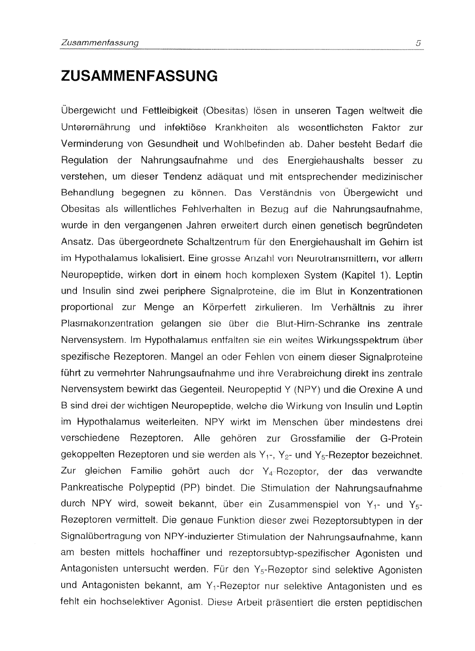#### ZUSAMMENFASSUNG

Übergewicht und Fettleibigkeit (Obesitas) lösen in unseren Tagen weltweit die Unterernährung und infektiöse Krankheiten als wesentlichsten Faktor zur Verminderung von Gesundheit und Wohlbefinden ab. Daher besteht Bedarf die Regulation der Nahrungsaufnahme und des Energiehaushalts besser zu verstehen, um dieser Tendenz adäguat und mit entsprechender medizinischer Behandlung begegnen zu können. Das Verständnis von Übergewicht und Obesitas als willentliches Fehlverhalten in Bezug auf die Nahrungsaufnahme, wurde in den vergangenen Jahren erweitert durch einen genetisch begründeten Ansatz. Das übergeordnete Schaltzentrum für den Energiehaushalt im Gehirn ist im Hypothalamus lokalisiert. Eine grosse Anzahl von Neurotransmittern, vor allem Neuropeptide, wirken dort in einem hoch komplexen System (Kapitel 1). Leptin und Insulin sind zwei periphere Signalproteine, die im Blut in Konzentrationen proportional zur Menge an Körperfett zirkulieren. Im Verhältnis zu ihrer Plasmakonzentration gelangen sie über die Blut-Hirn-Schranke ins zentrale Nervensystem. Im Hypothalamus entfalten sie ein weites Wirkungsspektrum über spezifische Hezeptoren. Mange! an oder Fehlen von einem dieser Signalproteine führt zu vermehrter Nahrungsaufnahme und ihre Verabreichung direkt ins zentrale Nervensystem bewirkt das Gegenteil. Neuropeptid Y (NPY) und die Orexine A und B sind drei der wichtigen Neuropeptide, wetche die Wirkung von Insulin und Leptin im Hypothalamus weiterleiten. NPY wirkt im Menschen über mindestens drei verschiedene Rezeptoren. Alle gehören zur Grossfamilie der G-Protein gekoppelten Rezeptoren und sie werden als Y<sub>1</sub>-, Y<sub>2</sub>- und Y<sub>5</sub>- Rezeptor bezeichnet. Zur gleichen Familie gehört auch der Y<sub>4</sub>-Rezeptor, der das verwandte Pankreatische Polypeptid (PP) bindet. Die Stimulation der Nahrungsaufnahme durch NPY wird, soweit bekannt, über ein Zusammenspiel von Y<sub>1</sub>- und Y<sub>5</sub>-Rezeptoren vermittelt. Die genaue Funktion dieser zwei Rezeptorsubtypen in der Signalübertragung von NPY-induzierter Stimulation der Nahrungsaufnahme, kann am besten mitteis hochaffiner und rezeptorsubtyp-spezifischer Agonisten und Antagonisten untersucht werden. Für den  $Y_5$ -Rezeptor sind selektive Agonisten und Antagonisten bekannt, am Y,-Rezeptor nur selektive Antagonisten und es fehlt ein hochselektiver Agonist. Diese Arbeit präsentiert die ersten peptidischen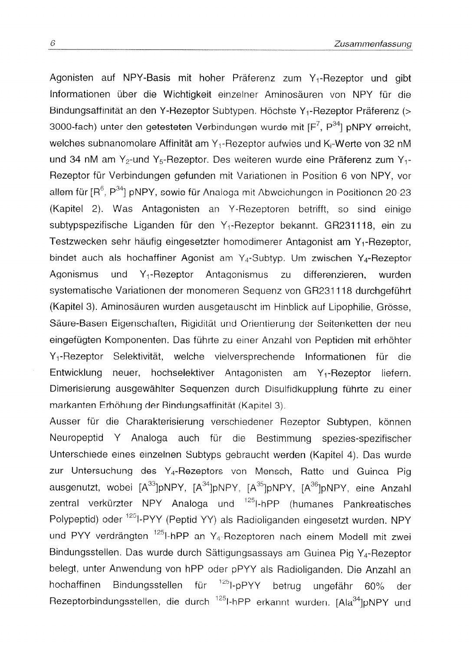Agonisten auf NPY-Basis mit hoher Präferenz zum Y<sub>1</sub>-Rezeptor und gibt Informationen über die Wichtigkeit einzelner Aminosäuren von NPY für die Bindungsaffinität an den Y-Rezeptor Subtypen. Höchste Y<sub>1</sub>-Rezeptor Präferenz (> 3000-fach) unter den getesteten Verbindungen wurde mit [F<sup>7</sup>, P<sup>34</sup>] pNPY erreicht, welches subnanomolare Affinität am Y<sub>1</sub>-Rezeptor aufwies und K<sub>i</sub>-Werte von 32 nM und 34 nM am Y<sub>2</sub>-und Y<sub>5</sub>-Rezeptor. Des weiteren wurde eine Präferenz zum Y<sub>1</sub>-Rezeptor für Verbindungen gefunden mit Variationen in Position 6 von NPY, vor allem für [R<sup>6</sup>, P<sup>34</sup>] pNPY, sowie für Analoga mit Abweichungen in Positionen 20-23 (Kapitel 2). Was Antagonisten an Y-Rezeptoren betrifft, so sind einige subtypspezifische Liganden für den Y<sub>1</sub>-Rezeptor bekannt, GR231118, ein zu Testzwecken sehr häufig eingesetzter homodimerer Antagonist am Y<sub>1</sub>-Rezeptor. bindet auch als hochaffiner Agonist am  $Y_4$ -Subtyp. Um zwischen  $Y_4$ -Rezeptor Agonismus und  $Y_1$ -Rezeptor Antagonismus zu differenzieren. wurden systematische Variationen der monomeren Sequenz von GR231118 durchgeführt (Kapitel 3). Aminosäuren wurden ausgetauscht im Hinblick auf Lipophilie, Grösse, Säure-Basen Eigenschaften, Rigidität und Orientierung der Seitenketten der neu eingefügten Komponenten. Das führte zu einer Anzahl von Peptiden mit erhöhter Selektivität, welche vielversprechende Informationen für die Y<sub>t</sub>-Rezeptor Entwicklung neuer, hochselektiver Antagonisten am Y<sub>1</sub>-Rezeptor liefern, Dimerisierung ausgewählter Sequenzen durch Disulfidkupplung führte zu einer markanten Erhöhung der Bindungsaffinität (Kapitel 3).

Ausser für die Charakterisierung verschiedener Rezeptor Subtypen, können Neuropeptid Y Analoga auch für die Bestimmung spezies-spezifischer Unterschiede eines einzelnen Subtyps gebraucht werden (Kapitel 4). Das wurde zur Untersuchung des Y<sub>4</sub>-Rezeptors von Mensch, Ratte und Guinea Pig ausgenutzt, wobei [A<sup>33</sup>]pNPY, [A<sup>34</sup>]pNPY, [A<sup>35</sup>]pNPY, [A<sup>36</sup>]pNPY, eine Anzahl zentral verkürzter NPY Analoga und <sup>125</sup>I-hPP (humanes Pankreatisches Polypeptid) oder <sup>125</sup>I-PYY (Peptid YY) als Radioliganden eingesetzt wurden. NPY und PYY verdrängten <sup>125</sup>I-hPP an Y<sub>4</sub>-Rezeptoren nach einem Modell mit zwei Bindungsstellen. Das wurde durch Sättigungsassays am Guinea Pig Y<sub>4</sub>-Rezeptor belegt, unter Anwendung von hPP oder pPYY als Radioliganden. Die Anzahl an hochaffinen Bindungsstellen für <sup>125</sup>I-pPYY betrug ungefähr 60% der Rezeptorbindungsstellen, die durch <sup>125</sup>I-hPP erkannt wurden. [Ala<sup>34</sup>]pNPY und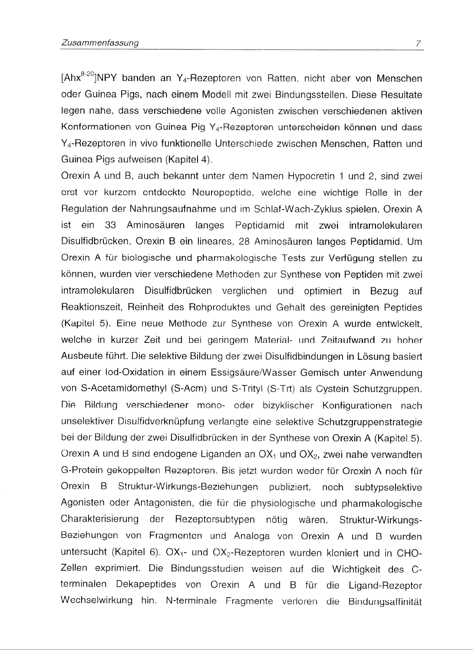[Ahx<sup>8-20</sup>]NPY banden an Y<sub>4</sub>-Rezeptoren von Ratten, nicht aber von Menschen oder Guinea Pigs, nach einem Modeli mit zwei Bindungsstelien. Diese Resultate legen nahe, dass verschiedene voile Agonisten zwischen verschiedenen aktiven Konformationen von Guinea Pig Y<sub>4</sub>-Rezeptoren unterscheiden können und dass Y<sub>4</sub>-Rezeptoren in vivo funktionelle Unterschiede zwischen Menschen, Ratten und Guinea Pigs aufweisen (Kapitel 4),

Qrexin A und B, such bekannt unter dem Namen Hypocretin 1 und 2, sind zwei erst vor kurzem entdeckte Neuropeptide, welche eine wichtige Rolle in der Regulation der Nahrungsaufnahme und im Schlaf-Wach-Zyklus spielen. Orexin A ist ein 33 Aminosauren langes Peptidamid mit zwei intramolekularen Disulfidbrücken, Orexin B ein lineares, 28 Aminosäuren langes Peptidamid. Um Orexin A für biologische und pharmakologische Tests zur Verfügung stellen zu können, wurden vier verschiedene Methoden zur Synthese von Peptiden mit zwei intramolekularen Disulfidbriicken verglichen und optimiert in Bezug auf Reaktionszeit, Reinheit des Rohproduktes und Gehalt des gereinigten Peptides (Kapitel 5). Eine neue Methode zur Synthese von Orexin A wurde entwickelt, welche in kurzer Zeit und bei geringem Material- und Zeitaufwand zu hoher Ausbeute führt. Die selektive Bildung der zwei Disulfidbindungen in Lösung basiertauf einer Iod-Oxidation in einem Essigsäure/Wasser Gemisch unter Anwendung von S-Acetamidomethyl (S-Acm) und S-Trityl (S-Trt) als Cystein Schutzgruppen. Die Bildung verschiedener mono- oder bizyklischer Konfigurationen nach unselektiver Disulfidverknüpfung verlangte eine selektive Schutzgruppenstrategie bei der Bildung der zwei Disulfidbrücken in der Synthese von Orexin A (Kapitel 5). Orexin A und B sind endogene Liganden an  $OX<sub>1</sub>$  und  $OX<sub>2</sub>$ , zwei nahe verwandten G-Protein gekoppelten Rezeptoren. Bis jetzt wurden weder fur Orexin A noch fur Orexin B Struktur-Wirkungs-Beziehungen publiziert, noch subtypselektive Agonisten oder Antagonisten, die für die physiologische und pharmakologische Charakterisierung der Rezeptorsubtypen nötig wären, Struktur-Wirkungs-Beziehungen von Fragmenten und Analoga von Orexin A und B wurden untersucht (Kapitel 6).  $OX_{1}$ - und  $OX_{2}$ -Rezeptoren wurden kloniert und in CHO-Zellen exprimiert. Die Bindungsstudien weisen auf die Wichtigkeit des Cterminalen Dekapeptides von Orexin A und B für die Ligand-Rezeptor Wechselwirkung hin. N-terminale Fragmente verloren die Bindungsaffinität